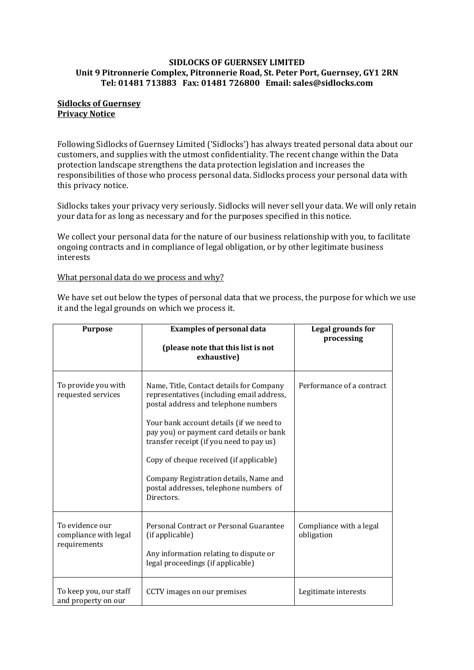#### **SIDLOCKS OF GUERNSEY LIMITED Unit 9 Pitronnerie Complex, Pitronnerie Road, St. Peter Port, Guernsey, GY1 2RN Tel: 01481 713883 Fax: 01481 726800 Email: sales@sidlocks.com**

## **Sidlocks of Guernsey Privacy Notice**

Following Sidlocks of Guernsey Limited ('Sidlocks') has always treated personal data about our customers, and supplies with the utmost confidentiality. The recent change within the Data protection landscape strengthens the data protection legislation and increases the responsibilities of those who process personal data. Sidlocks process your personal data with this privacy notice.

Sidlocks takes your privacy very seriously. Sidlocks will never sell your data. We will only retain your data for as long as necessary and for the purposes specified in this notice.

We collect your personal data for the nature of our business relationship with you, to facilitate ongoing contracts and in compliance of legal obligation, or by other legitimate business interests

## What personal data do we process and why?

We have set out below the types of personal data that we process, the purpose for which we use it and the legal grounds on which we process it.

| <b>Purpose</b>                                           | <b>Examples of personal data</b><br>(please note that this list is not<br>exhaustive)                                                                                                                                                                                                                                                                                                                          | Legal grounds for<br>processing       |
|----------------------------------------------------------|----------------------------------------------------------------------------------------------------------------------------------------------------------------------------------------------------------------------------------------------------------------------------------------------------------------------------------------------------------------------------------------------------------------|---------------------------------------|
| To provide you with<br>requested services                | Name, Title, Contact details for Company<br>representatives (including email address,<br>postal address and telephone numbers<br>Your bank account details (if we need to<br>pay you) or payment card details or bank<br>transfer receipt (if you need to pay us)<br>Copy of cheque received (if applicable)<br>Company Registration details, Name and<br>postal addresses, telephone numbers of<br>Directors. | Performance of a contract             |
| To evidence our<br>compliance with legal<br>requirements | Personal Contract or Personal Guarantee<br>(if applicable)<br>Any information relating to dispute or<br>legal proceedings (if applicable)                                                                                                                                                                                                                                                                      | Compliance with a legal<br>obligation |
| To keep you, our staff<br>and property on our            | CCTV images on our premises                                                                                                                                                                                                                                                                                                                                                                                    | Legitimate interests                  |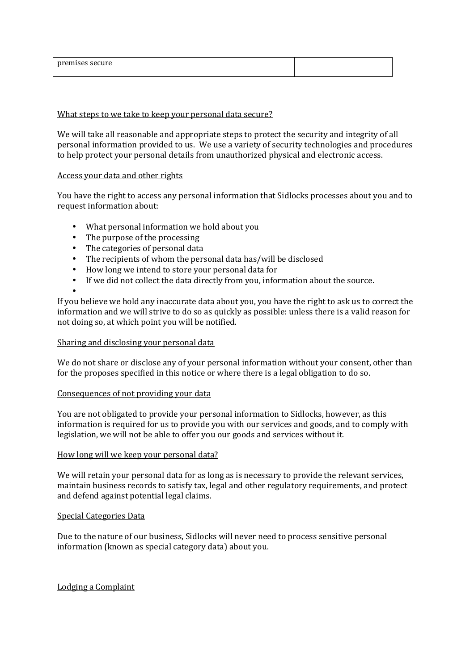| ---------<br>0001180<br><b>Section</b><br><br>ulu |  |
|---------------------------------------------------|--|
|                                                   |  |

## What steps to we take to keep your personal data secure?

We will take all reasonable and appropriate steps to protect the security and integrity of all personal information provided to us. We use a variety of security technologies and procedures to help protect your personal details from unauthorized physical and electronic access.

## Access your data and other rights

You have the right to access any personal information that Sidlocks processes about you and to request information about:

- What personal information we hold about you
- The purpose of the processing
- The categories of personal data
- The recipients of whom the personal data has/will be disclosed
- How long we intend to store your personal data for
- If we did not collect the data directly from you, information about the source.

• If you believe we hold any inaccurate data about you, you have the right to ask us to correct the information and we will strive to do so as quickly as possible: unless there is a valid reason for not doing so, at which point you will be notified.

#### Sharing and disclosing your personal data

We do not share or disclose any of your personal information without your consent, other than for the proposes specified in this notice or where there is a legal obligation to do so.

# Consequences of not providing your data

You are not obligated to provide your personal information to Sidlocks, however, as this information is required for us to provide you with our services and goods, and to comply with legislation, we will not be able to offer you our goods and services without it.

#### How long will we keep your personal data?

We will retain your personal data for as long as is necessary to provide the relevant services, maintain business records to satisfy tax, legal and other regulatory requirements, and protect and defend against potential legal claims.

#### Special Categories Data

Due to the nature of our business, Sidlocks will never need to process sensitive personal information (known as special category data) about you.

# Lodging a Complaint